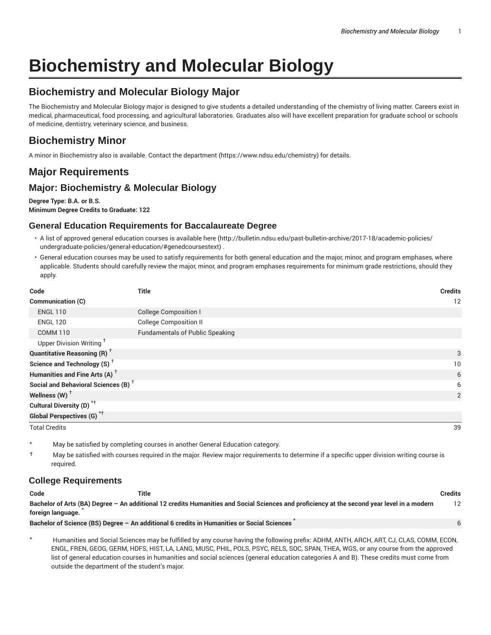6

# **Biochemistry and Molecular Biology**

# **Biochemistry and Molecular Biology Major**

The Biochemistry and Molecular Biology major is designed to give students a detailed understanding of the chemistry of living matter. Careers exist in medical, pharmaceutical, food processing, and agricultural laboratories. Graduates also will have excellent preparation for graduate school or schools of medicine, dentistry, veterinary science, and business.

# **Biochemistry Minor**

A minor in Biochemistry also is available. Contact the department (https://www.ndsu.edu/chemistry) for details.

# **Major Requirements**

# **Major: Biochemistry & Molecular Biology**

**Degree Type: B.A. or B.S. Minimum Degree Credits to Graduate: 122**

## **General Education Requirements for Baccalaureate Degree**

- A list of approved general education courses is available here (http://bulletin.ndsu.edu/past-bulletin-archive/2017-18/academic-policies/ undergraduate-policies/general-education/#genedcoursestext) .
- General education courses may be used to satisfy requirements for both general education and the major, minor, and program emphases, where applicable. Students should carefully review the major, minor, and program emphases requirements for minimum grade restrictions, should they apply.

| Code                                            | Title                                  | <b>Credits</b> |
|-------------------------------------------------|----------------------------------------|----------------|
| Communication (C)                               |                                        | 12             |
| <b>ENGL 110</b>                                 | <b>College Composition I</b>           |                |
| <b>ENGL 120</b>                                 | <b>College Composition II</b>          |                |
| <b>COMM 110</b>                                 | <b>Fundamentals of Public Speaking</b> |                |
| Upper Division Writing <sup>+</sup>             |                                        |                |
| <b>Quantitative Reasoning (R)</b> <sup>†</sup>  |                                        | 3              |
| Science and Technology (S) <sup>+</sup>         |                                        | 10             |
| Humanities and Fine Arts (A) <sup>+</sup>       |                                        | 6              |
| Social and Behavioral Sciences (B) <sup>+</sup> |                                        | 6              |
| Wellness $(W)$ <sup>+</sup>                     |                                        | 2              |
| Cultural Diversity (D) <sup>*†</sup>            |                                        |                |
| <b>Global Perspectives (G)</b> <sup>*†</sup>    |                                        |                |

Total Credits 39

May be satisfied by completing courses in another General Education category.

† May be satisfied with courses required in the major. Review major requirements to determine if a specific upper division writing course is required.

## **College Requirements**

#### **Code Title Credits**

Bachelor of Arts (BA) Degree - An additional 12 credits Humanities and Social Sciences and proficiency at the second year level in a modern **foreign language.** \* 12

**Bachelor of Science (BS) Degree – An additional 6 credits in Humanities or Social Sciences** \*

\* Humanities and Social Sciences may be fulfilled by any course having the following prefix: ADHM, ANTH, ARCH, ART, CJ, CLAS, COMM, ECON, ENGL, FREN, GEOG, GERM, HDFS, HIST, LA, LANG, MUSC, PHIL, POLS, PSYC, RELS, SOC, SPAN, THEA, WGS, or any course from the approved list of general education courses in humanities and social sciences (general education categories A and B). These credits must come from outside the department of the student's major.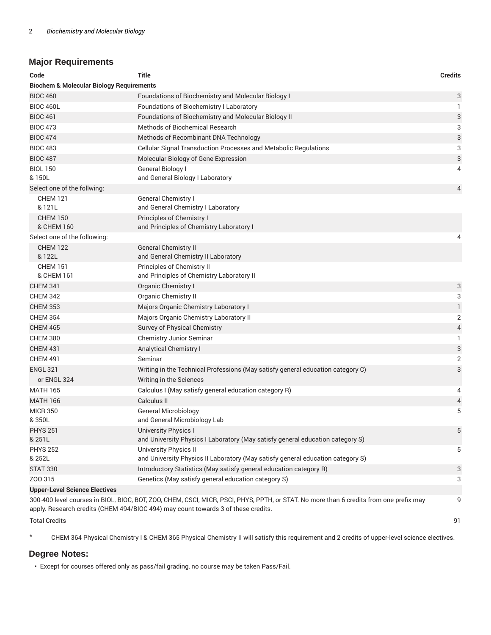## **Major Requirements**

| Code                                                                                                                                                                                                                             | <b>Title</b>                                                                                                    | <b>Credits</b> |  |
|----------------------------------------------------------------------------------------------------------------------------------------------------------------------------------------------------------------------------------|-----------------------------------------------------------------------------------------------------------------|----------------|--|
| <b>Biochem &amp; Molecular Biology Requirements</b>                                                                                                                                                                              |                                                                                                                 |                |  |
| <b>BIOC 460</b>                                                                                                                                                                                                                  | <b>Foundations of Biochemistry and Molecular Biology I</b>                                                      | 3              |  |
| <b>BIOC 460L</b>                                                                                                                                                                                                                 | Foundations of Biochemistry I Laboratory                                                                        | 1              |  |
| <b>BIOC 461</b>                                                                                                                                                                                                                  | Foundations of Biochemistry and Molecular Biology II                                                            | 3              |  |
| <b>BIOC 473</b>                                                                                                                                                                                                                  | <b>Methods of Biochemical Research</b>                                                                          | 3              |  |
| <b>BIOC 474</b>                                                                                                                                                                                                                  | Methods of Recombinant DNA Technology                                                                           | 3              |  |
| <b>BIOC 483</b>                                                                                                                                                                                                                  | Cellular Signal Transduction Processes and Metabolic Regulations                                                | 3              |  |
| <b>BIOC 487</b>                                                                                                                                                                                                                  | Molecular Biology of Gene Expression                                                                            | 3              |  |
| <b>BIOL 150</b><br>& 150L                                                                                                                                                                                                        | <b>General Biology I</b><br>and General Biology I Laboratory                                                    | 4              |  |
| Select one of the follwing:                                                                                                                                                                                                      |                                                                                                                 | 4              |  |
| <b>CHEM 121</b><br>& 121L                                                                                                                                                                                                        | General Chemistry I<br>and General Chemistry I Laboratory                                                       |                |  |
| <b>CHEM 150</b><br>& CHEM 160                                                                                                                                                                                                    | Principles of Chemistry I<br>and Principles of Chemistry Laboratory I                                           |                |  |
| Select one of the following:                                                                                                                                                                                                     |                                                                                                                 | 4              |  |
| <b>CHEM 122</b><br>& 122L                                                                                                                                                                                                        | <b>General Chemistry II</b><br>and General Chemistry II Laboratory                                              |                |  |
| <b>CHEM 151</b><br>& CHEM 161                                                                                                                                                                                                    | Principles of Chemistry II<br>and Principles of Chemistry Laboratory II                                         |                |  |
| <b>CHEM 341</b>                                                                                                                                                                                                                  | Organic Chemistry I                                                                                             | 3              |  |
| <b>CHEM 342</b>                                                                                                                                                                                                                  | <b>Organic Chemistry II</b>                                                                                     | 3              |  |
| <b>CHEM 353</b>                                                                                                                                                                                                                  | Majors Organic Chemistry Laboratory I                                                                           | $\mathbf{1}$   |  |
| <b>CHEM 354</b>                                                                                                                                                                                                                  | Majors Organic Chemistry Laboratory II                                                                          | 2              |  |
| <b>CHEM 465</b>                                                                                                                                                                                                                  | Survey of Physical Chemistry                                                                                    | 4              |  |
| <b>CHEM 380</b>                                                                                                                                                                                                                  | Chemistry Junior Seminar                                                                                        | 1              |  |
| <b>CHEM 431</b>                                                                                                                                                                                                                  | Analytical Chemistry I                                                                                          | 3              |  |
| <b>CHEM 491</b>                                                                                                                                                                                                                  | Seminar                                                                                                         | 2              |  |
| <b>ENGL 321</b>                                                                                                                                                                                                                  | Writing in the Technical Professions (May satisfy general education category C)                                 | 3              |  |
| or ENGL 324                                                                                                                                                                                                                      | Writing in the Sciences                                                                                         |                |  |
| <b>MATH 165</b>                                                                                                                                                                                                                  | Calculus I (May satisfy general education category R)                                                           | 4              |  |
| <b>MATH 166</b>                                                                                                                                                                                                                  | Calculus II                                                                                                     | 4              |  |
| <b>MICR 350</b>                                                                                                                                                                                                                  | <b>General Microbiology</b>                                                                                     | 5              |  |
| &350L                                                                                                                                                                                                                            | and General Microbiology Lab                                                                                    |                |  |
| <b>PHYS 251</b><br>& 251L                                                                                                                                                                                                        | University Physics I<br>and University Physics I Laboratory (May satisfy general education category S)          | 5              |  |
| <b>PHYS 252</b><br>& 252L                                                                                                                                                                                                        | <b>University Physics II</b><br>and University Physics II Laboratory (May satisfy general education category S) | 5              |  |
| <b>STAT 330</b>                                                                                                                                                                                                                  | Introductory Statistics (May satisfy general education category R)                                              | 3              |  |
| Z00 315                                                                                                                                                                                                                          | Genetics (May satisfy general education category S)                                                             | 3              |  |
| <b>Upper-Level Science Electives</b>                                                                                                                                                                                             |                                                                                                                 |                |  |
| 300-400 level courses in BIOL, BIOC, BOT, ZOO, CHEM, CSCI, MICR, PSCI, PHYS, PPTH, or STAT. No more than 6 credits from one prefix may<br>9<br>apply. Research credits (CHEM 494/BIOC 494) may count towards 3 of these credits. |                                                                                                                 |                |  |

Total Credits 91

\* CHEM 364 Physical Chemistry I & CHEM 365 Physical Chemistry II will satisfy this requirement and 2 credits of upper-level science electives.

#### **Degree Notes:**

• Except for courses offered only as pass/fail grading, no course may be taken Pass/Fail.